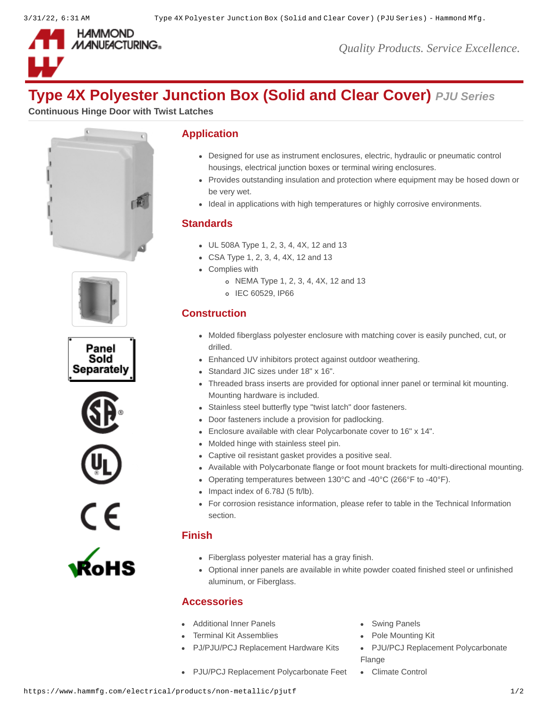

*Quality Products. Service Excellence.*

# **Type 4X Polyester Junction Box (Solid and Clear Cover)** *PJU Series*

**Continuous Hinge Door with Twist Latches**













### **Application**

- Designed for use as instrument enclosures, electric, hydraulic or pneumatic control housings, electrical junction boxes or terminal wiring enclosures.
- Provides outstanding insulation and protection where equipment may be hosed down or be very wet.
- Ideal in applications with high temperatures or highly corrosive environments.

### **Standards**

- UL 508A Type 1, 2, 3, 4, 4X, 12 and 13
- CSA Type 1, 2, 3, 4, 4X, 12 and 13
- Complies with
	- NEMA Type 1, 2, 3, 4, 4X, 12 and 13
	- o IEC 60529, IP66

# **Construction**

- Molded fiberglass polyester enclosure with matching cover is easily punched, cut, or drilled.
- Enhanced UV inhibitors protect against outdoor weathering.
- Standard JIC sizes under 18" x 16".
- Threaded brass inserts are provided for optional inner panel or terminal kit mounting. Mounting hardware is included.
- Stainless steel butterfly type "twist latch" door fasteners.
- Door fasteners include a provision for padlocking.
- Enclosure available with clear Polycarbonate cover to 16" x 14".
- Molded hinge with stainless steel pin.
- Captive oil resistant gasket provides a positive seal.
- Available with Polycarbonate flange or foot mount brackets for multi-directional mounting.
- Operating temperatures between 130°C and -40°C (266°F to -40°F).
- $\bullet$  Impact index of 6.78J (5 ft/lb).
- For corrosion resistance information, please refer to table in the Technical Information section.

# **Finish**

- Fiberglass polyester material has a gray finish.
- Optional inner panels are available in white powder coated finished steel or unfinished aluminum, or Fiberglass.

# **Accessories**

- [Additional Inner Panels](https://www.hammfg.com/electrical/products/accessories/14p?referer=129&itm_type=accessory) **Suite Additional Inner Panels** [Swing Panels](https://www.hammfg.com/electrical/products/accessories/pjsp?referer=129&itm_type=accessory)
- [Terminal Kit Assemblies](https://www.hammfg.com/electrical/products/accessories/14tk?referer=129&itm_type=accessory) **[Pole Mounting Kit](https://www.hammfg.com/electrical/products/accessories/pjpmk?referer=129&itm_type=accessory)**
- 
- 
- 
- [PJ/PJU/PCJ Replacement Hardware Kits](https://www.hammfg.com/electrical/products/accessories/pjkit?referer=129&itm_type=accessory) . [PJU/PCJ Replacement Polycarbonate](https://www.hammfg.com/electrical/products/accessories/pjf?referer=129&itm_type=accessory) Flange
- [PJU/PCJ Replacement Polycarbonate Feet](https://www.hammfg.com/electrical/products/accessories/pjfm?referer=129&itm_type=accessory) [Climate Control](https://www.hammfg.com/electrical/products/climate?referer=129&itm_type=accessory)